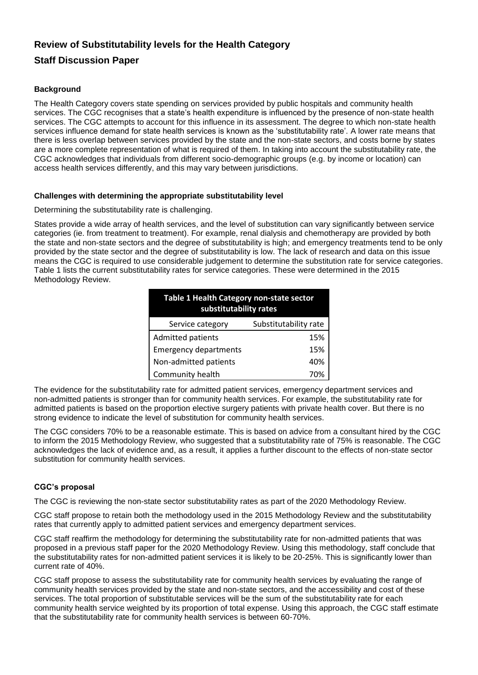# **Review of Substitutability levels for the Health Category**

## **Staff Discussion Paper**

### **Background**

The Health Category covers state spending on services provided by public hospitals and community health services. The CGC recognises that a state's health expenditure is influenced by the presence of non-state health services. The CGC attempts to account for this influence in its assessment. The degree to which non-state health services influence demand for state health services is known as the 'substitutability rate'. A lower rate means that there is less overlap between services provided by the state and the non-state sectors, and costs borne by states are a more complete representation of what is required of them. In taking into account the substitutability rate, the CGC acknowledges that individuals from different socio-demographic groups (e.g. by income or location) can access health services differently, and this may vary between jurisdictions.

#### **Challenges with determining the appropriate substitutability level**

#### Determining the substitutability rate is challenging.

States provide a wide array of health services, and the level of substitution can vary significantly between service categories (ie. from treatment to treatment). For example, renal dialysis and chemotherapy are provided by both the state and non-state sectors and the degree of substitutability is high; and emergency treatments tend to be only provided by the state sector and the degree of substitutability is low. The lack of research and data on this issue means the CGC is required to use considerable judgement to determine the substitution rate for service categories. Table 1 lists the current substitutability rates for service categories. These were determined in the 2015 Methodology Review.

| Table 1 Health Category non-state sector<br>substitutability rates |                       |
|--------------------------------------------------------------------|-----------------------|
| Service category                                                   | Substitutability rate |
| <b>Admitted patients</b>                                           | 15%                   |
| <b>Emergency departments</b>                                       | 15%                   |
| Non-admitted patients                                              | 40%                   |
| Community health                                                   | 70%                   |

The evidence for the substitutability rate for admitted patient services, emergency department services and non-admitted patients is stronger than for community health services. For example, the substitutability rate for admitted patients is based on the proportion elective surgery patients with private health cover. But there is no strong evidence to indicate the level of substitution for community health services.

The CGC considers 70% to be a reasonable estimate. This is based on advice from a consultant hired by the CGC to inform the 2015 Methodology Review, who suggested that a substitutability rate of 75% is reasonable. The CGC acknowledges the lack of evidence and, as a result, it applies a further discount to the effects of non-state sector substitution for community health services.

#### **CGC's proposal**

The CGC is reviewing the non-state sector substitutability rates as part of the 2020 Methodology Review.

CGC staff propose to retain both the methodology used in the 2015 Methodology Review and the substitutability rates that currently apply to admitted patient services and emergency department services.

CGC staff reaffirm the methodology for determining the substitutability rate for non-admitted patients that was proposed in a previous staff paper for the 2020 Methodology Review. Using this methodology, staff conclude that the substitutability rates for non-admitted patient services it is likely to be 20-25%. This is significantly lower than current rate of 40%.

CGC staff propose to assess the substitutability rate for community health services by evaluating the range of community health services provided by the state and non-state sectors, and the accessibility and cost of these services. The total proportion of substitutable services will be the sum of the substitutability rate for each community health service weighted by its proportion of total expense. Using this approach, the CGC staff estimate that the substitutability rate for community health services is between 60-70%.